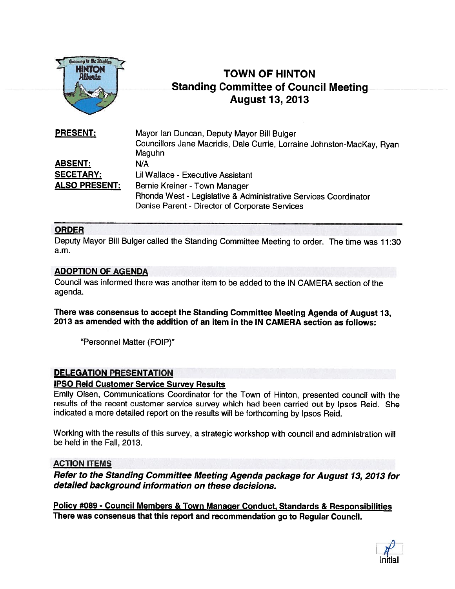

# TOWN OF HINTON Standing Committee of Council Meeting August 13, 2013

| <b>PRESENT:</b>      | Mayor Ian Duncan, Deputy Mayor Bill Bulger                             |
|----------------------|------------------------------------------------------------------------|
|                      | Councillors Jane Macridis, Dale Currie, Lorraine Johnston-MacKay, Ryan |
|                      | Maguhn                                                                 |
| <b>ABSENT:</b>       | N/A                                                                    |
| <b>SECETARY:</b>     | Lil Wallace - Executive Assistant                                      |
| <b>ALSO PRESENT:</b> | Bernie Kreiner - Town Manager                                          |
|                      | Rhonda West - Legislative & Administrative Services Coordinator        |
|                      | Denise Parent - Director of Corporate Services                         |

# ORDER

Deputy Mayor Bill Bulger called the Standing Committee Meeting to order. The time was 11:30 a.m.

# ADOPTION OF AGENDA

Council was informed there was another item to be added to the IN CAMERA section of the agenda.

There was consensus to accep<sup>t</sup> the Standing Committee Meeting Agenda of August 13, 2013 as amended with the addition of an item in the IN CAMERA section as follows:

"Personnel Matter (FOIP)"

#### DELEGATION PRESENTATION

#### IPSO Reid Customer Service Survey Results

Emily Olsen, Communications Coordinator for the Town of Hinton, presented council with the results of the recent customer service survey which had been carried out by Ipsos Reid. She indicated <sup>a</sup> more detailed repor<sup>t</sup> on the results will be forthcoming by Ipsos Reid.

Working with the results of this survey, <sup>a</sup> strategic workshop with council and administration will be held in the FaIl, 2013.

# ACTION ITEMS

Refer to the Standing Committee Meeting Agenda package for August 13, <sup>2013</sup> for detailed background information on these decisions.

Policy #089 - Council Members & Town Manager Conduct, Standards & Responsibilities There was consensus that this repor<sup>t</sup> and recommendation go to Regular Council.

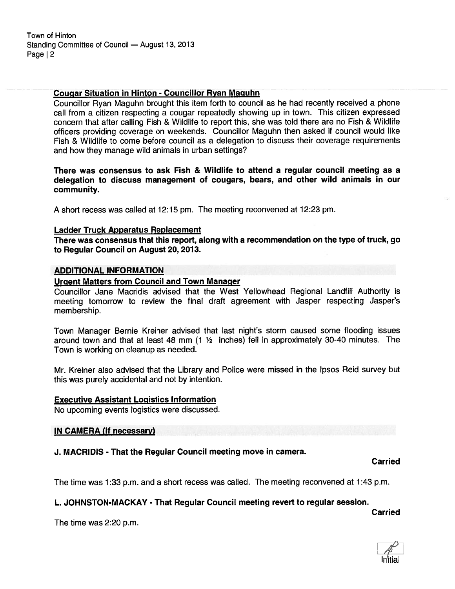### Cougar Situation in Hinton - Councillor Ryan Maguhn

Councillor Ryan Maguhn brought this item forth to council as he had recently received <sup>a</sup> phone call from <sup>a</sup> citizen respecting <sup>a</sup> cougar repeatedly showing up in town. This citizen expressed concern that after calling Fish & Wildlife to repor<sup>t</sup> this, she was told there are no Fish & Wildlife officers providing coverage on weekends. Councillor Maguhn then asked if council would like Fish & Wildlife to come before council as <sup>a</sup> delegation to discuss their coverage requirements and how they manage wild animals in urban settings?

There was consensus to ask Fish & Wildlife to attend <sup>a</sup> regular council meeting as <sup>a</sup> delegation to discuss managemen<sup>t</sup> of cougars, bears, and other wild animals in our community.

A short recess was called at 12:15 pm. The meeting reconvened at 12:23 pm.

#### Ladder Truck Apparatus Replacement

There was consensus that this report, along with <sup>a</sup> recommendation on the type of truck, go to Regular Council on August 20, 2013.

#### ADDITIONAL INFORMATION

#### Urgent Matters from Council and Town Manager

Councillor Jane Macridis advised that the West Yellowhead Regional Landfill Authority is meeting tomorrow to review the final draft agreemen<sup>t</sup> with Jasper respecting Jasper's membership.

Town Manager Bernie Kreiner advised that last night's storm caused some flooding issues around town and that at least 48 mm (1 ½ inches) fell in approximately 30-40 minutes. The Town is working on cleanup as needed.

Mr. Kreiner also advised that the Library and Police were missed in the Ipsos Reid survey but this was purely accidental and not by intention.

#### Executive Assistant Logistics Information

No upcoming events logistics were discussed.

#### IN CAMERA (if necessary)

# J. MACRIDIS - That the Regular Council meeting move in camera.

Carried

Carried

The time was 1:33 p.m. and <sup>a</sup> short recess was called. The meeting reconvened at 1:43 p.m.

# L. JOHNSTON-MACKAY - That Regular Council meeting revert to regular session.

The time was 2:20 p.m.